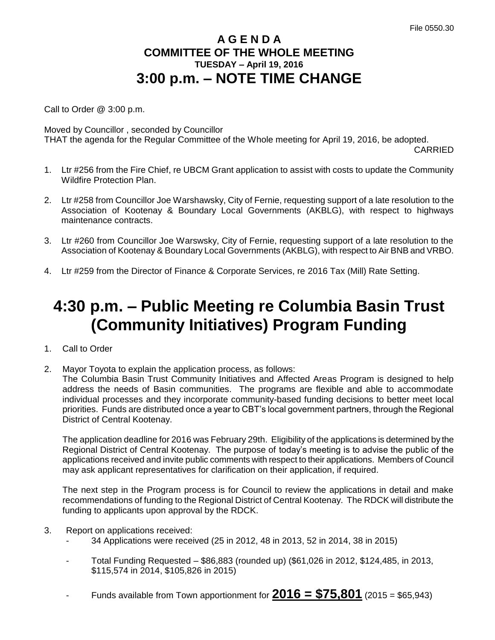## **A G E N D A COMMITTEE OF THE WHOLE MEETING TUESDAY – April 19, 2016 3:00 p.m. – NOTE TIME CHANGE**

Call to Order @ 3:00 p.m.

Moved by Councillor , seconded by Councillor THAT the agenda for the Regular Committee of the Whole meeting for April 19, 2016, be adopted.

CARRIED

- 1. Ltr #256 from the Fire Chief, re UBCM Grant application to assist with costs to update the Community Wildfire Protection Plan.
- 2. Ltr #258 from Councillor Joe Warshawsky, City of Fernie, requesting support of a late resolution to the Association of Kootenay & Boundary Local Governments (AKBLG), with respect to highways maintenance contracts.
- 3. Ltr #260 from Councillor Joe Warswsky, City of Fernie, requesting support of a late resolution to the Association of Kootenay & Boundary Local Governments (AKBLG), with respect to Air BNB and VRBO.
- 4. Ltr #259 from the Director of Finance & Corporate Services, re 2016 Tax (Mill) Rate Setting.

## **4:30 p.m. – Public Meeting re Columbia Basin Trust (Community Initiatives) Program Funding**

- 1. Call to Order
- 2. Mayor Toyota to explain the application process, as follows:

The Columbia Basin Trust Community Initiatives and Affected Areas Program is designed to help address the needs of Basin communities. The programs are flexible and able to accommodate individual processes and they incorporate community-based funding decisions to better meet local priorities. Funds are distributed once a year to CBT's local government partners, through the Regional District of Central Kootenay.

The application deadline for 2016 was February 29th. Eligibility of the applications is determined by the Regional District of Central Kootenay. The purpose of today's meeting is to advise the public of the applications received and invite public comments with respect to their applications. Members of Council may ask applicant representatives for clarification on their application, if required.

The next step in the Program process is for Council to review the applications in detail and make recommendations of funding to the Regional District of Central Kootenay. The RDCK will distribute the funding to applicants upon approval by the RDCK.

- 3. Report on applications received:
	- 34 Applications were received (25 in 2012, 48 in 2013, 52 in 2014, 38 in 2015)
	- Total Funding Requested \$86,883 (rounded up) (\$61,026 in 2012, \$124,485, in 2013, \$115,574 in 2014, \$105,826 in 2015)
	- Funds available from Town apportionment for  $2016 = $75,801$  (2015 = \$65,943)